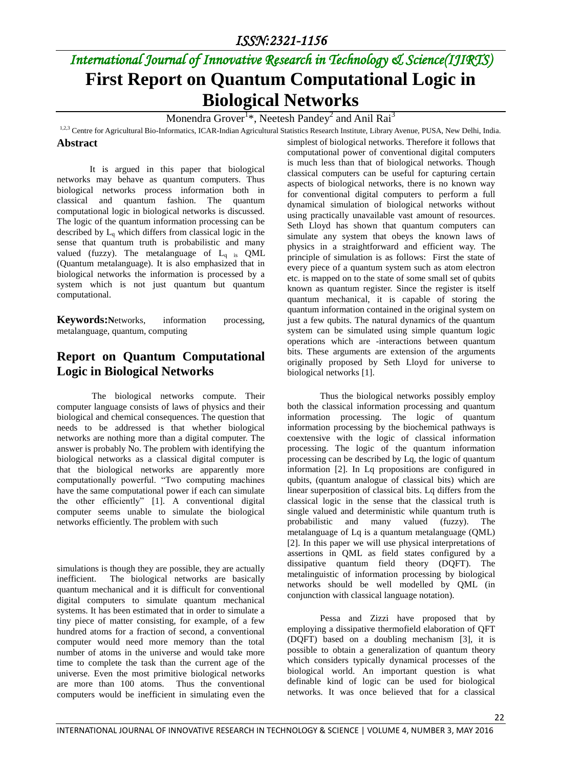### *ISSN:2321-1156*

# *International Journal of Innovative Research in Technology & Science(IJIRTS)* **First Report on Quantum Computational Logic in Biological Networks**

Monendra Grover $^{1*}$ , Neetesh Pandey $^{2}$  and Anil Rai $^{3}$ 

<sup>1,2,3</sup> Centre for Agricultural Bio-Informatics, ICAR-Indian Agricultural Statistics Research Institute, Library Avenue, PUSA, New Delhi, India.

#### **Abstract**

It is argued in this paper that biological networks may behave as quantum computers. Thus biological networks process information both in classical and quantum fashion. The quantum computational logic in biological networks is discussed. The logic of the quantum information processing can be described by  $L<sub>a</sub>$  which differs from classical logic in the sense that quantum truth is probabilistic and many valued (fuzzy). The metalanguage of  $L_q$  is QML (Quantum metalanguage). It is also emphasized that in biological networks the information is processed by a system which is not just quantum but quantum computational.

**Keywords:N**etworks, information processing, metalanguage, quantum, computing

#### **Report on Quantum Computational Logic in Biological Networks**

The biological networks compute. Their computer language consists of laws of physics and their biological and chemical consequences. The question that needs to be addressed is that whether biological networks are nothing more than a digital computer. The answer is probably No. The problem with identifying the biological networks as a classical digital computer is that the biological networks are apparently more computationally powerful. "Two computing machines have the same computational power if each can simulate the other efficiently" [\[1\]](#page-2-0). A conventional digital computer seems unable to simulate the biological networks efficiently. The problem with such

simulations is though they are possible, they are actually inefficient. The biological networks are basically quantum mechanical and it is difficult for conventional digital computers to simulate quantum mechanical systems. It has been estimated that in order to simulate a tiny piece of matter consisting, for example, of a few hundred atoms for a fraction of second, a conventional computer would need more memory than the total number of atoms in the universe and would take more time to complete the task than the current age of the universe. Even the most primitive biological networks are more than 100 atoms. Thus the conventional computers would be inefficient in simulating even the

simplest of biological networks. Therefore it follows that computational power of conventional digital computers is much less than that of biological networks. Though classical computers can be useful for capturing certain aspects of biological networks, there is no known way for conventional digital computers to perform a full dynamical simulation of biological networks without using practically unavailable vast amount of resources. Seth Lloyd has shown that quantum computers can simulate any system that obeys the known laws of physics in a straightforward and efficient way. The principle of simulation is as follows: First the state of every piece of a quantum system such as atom electron etc. is mapped on to the state of some small set of qubits known as quantum register. Since the register is itself quantum mechanical, it is capable of storing the quantum information contained in the original system on just a few qubits. The natural dynamics of the quantum system can be simulated using simple quantum logic operations which are -interactions between quantum bits. These arguments are extension of the arguments originally proposed by Seth Lloyd for universe to biological networks [\[1\]](#page-2-0).

Thus the biological networks possibly employ both the classical information processing and quantum information processing. The logic of quantum information processing by the biochemical pathways is coextensive with the logic of classical information processing. The logic of the quantum information processing can be described by Lq, the logic of quantum information [\[2\]](#page-2-1). In Lq propositions are configured in qubits, (quantum analogue of classical bits) which are linear superposition of classical bits. Lq differs from the classical logic in the sense that the classical truth is single valued and deterministic while quantum truth is probabilistic and many valued (fuzzy). The metalanguage of Lq is a quantum metalanguage (QML) [\[2\]](#page-2-1). In this paper we will use physical interpretations of assertions in QML as field states configured by a dissipative quantum field theory (DQFT). The metalinguistic of information processing by biological networks should be well modelled by QML (in conjunction with classical language notation).

Pessa and Zizzi have proposed that by employing a dissipative thermofield elaboration of QFT (DQFT) based on a doubling mechanism [\[3\]](#page-2-2), it is possible to obtain a generalization of quantum theory which considers typically dynamical processes of the biological world. An important question is what definable kind of logic can be used for biological networks. It was once believed that for a classical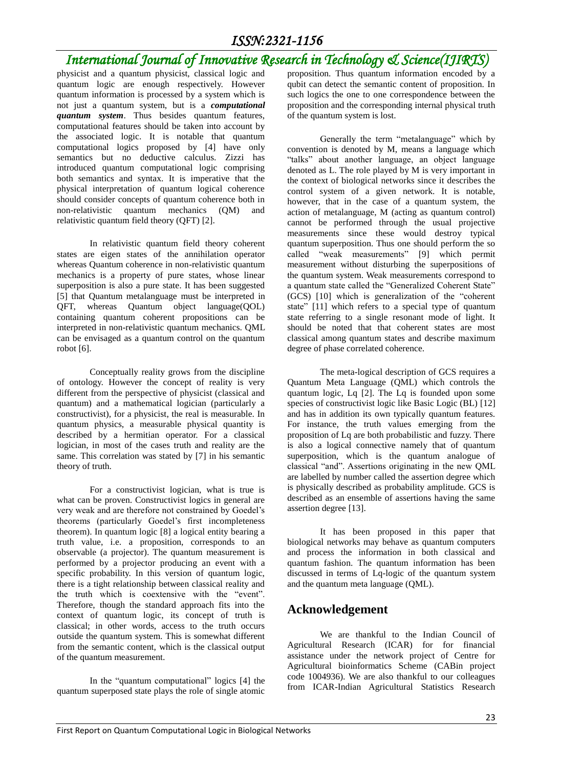### *ISSN:2321-1156*

## *International Journal of Innovative Research in Technology & Science(IJIRTS)*

physicist and a quantum physicist, classical logic and quantum logic are enough respectively. However quantum information is processed by a system which is not just a quantum system, but is a *computational quantum system*. Thus besides quantum features, computational features should be taken into account by the associated logic. It is notable that quantum computational logics proposed by [\[4\]](#page-2-3) have only semantics but no deductive calculus. Zizzi has introduced quantum computational logic comprising both semantics and syntax. It is imperative that the physical interpretation of quantum logical coherence should consider concepts of quantum coherence both in non-relativistic quantum mechanics (QM) and relativistic quantum field theory (QFT) [\[2\]](#page-2-1).

In relativistic quantum field theory coherent states are eigen states of the annihilation operator whereas Quantum coherence in non-relativistic quantum mechanics is a property of pure states, whose linear superposition is also a pure state. It has been suggested [\[5\]](#page-2-4) that Quantum metalanguage must be interpreted in QFT, whereas Quantum object language(QOL) containing quantum coherent propositions can be interpreted in non-relativistic quantum mechanics. QML can be envisaged as a quantum control on the quantum robot [\[6\]](#page-2-5).

Conceptually reality grows from the discipline of ontology. However the concept of reality is very different from the perspective of physicist (classical and quantum) and a mathematical logician (particularly a constructivist), for a physicist, the real is measurable. In quantum physics, a measurable physical quantity is described by a hermitian operator. For a classical logician, in most of the cases truth and reality are the same. This correlation was stated by [\[7\]](#page-2-6) in his semantic theory of truth.

For a constructivist logician, what is true is what can be proven. Constructivist logics in general are very weak and are therefore not constrained by Goedel's theorems (particularly Goedel's first incompleteness theorem). In quantum logic [\[8\]](#page-2-7) a logical entity bearing a truth value, i.e. a proposition, corresponds to an observable (a projector). The quantum measurement is performed by a projector producing an event with a specific probability. In this version of quantum logic, there is a tight relationship between classical reality and the truth which is coextensive with the "event". Therefore, though the standard approach fits into the context of quantum logic, its concept of truth is classical; in other words, access to the truth occurs outside the quantum system. This is somewhat different from the semantic content, which is the classical output of the quantum measurement.

In the "quantum computational" logics [\[4\]](#page-2-3) the quantum superposed state plays the role of single atomic

proposition. Thus quantum information encoded by a qubit can detect the semantic content of proposition. In such logics the one to one correspondence between the proposition and the corresponding internal physical truth of the quantum system is lost.

Generally the term "metalanguage" which by convention is denoted by M, means a language which "talks" about another language, an object language denoted as L. The role played by M is very important in the context of biological networks since it describes the control system of a given network. It is notable, however, that in the case of a quantum system, the action of metalanguage, M (acting as quantum control) cannot be performed through the usual projective measurements since these would destroy typical quantum superposition. Thus one should perform the so called "weak measurements" [\[9\]](#page-2-8) which permit measurement without disturbing the superpositions of the quantum system. Weak measurements correspond to a quantum state called the "Generalized Coherent State" (GCS) [\[10\]](#page-2-9) which is generalization of the "coherent state" [\[11\]](#page-2-10) which refers to a special type of quantum state referring to a single resonant mode of light. It should be noted that that coherent states are most classical among quantum states and describe maximum degree of phase correlated coherence.

The meta-logical description of GCS requires a Quantum Meta Language (QML) which controls the quantum logic, Lq [\[2\]](#page-2-1). The Lq is founded upon some species of constructivist logic like Basic Logic (BL) [\[12\]](#page-2-11) and has in addition its own typically quantum features. For instance, the truth values emerging from the proposition of Lq are both probabilistic and fuzzy. There is also a logical connective namely that of quantum superposition, which is the quantum analogue of classical "and". Assertions originating in the new QML are labelled by number called the assertion degree which is physically described as probability amplitude. GCS is described as an ensemble of assertions having the same assertion degree [\[13\]](#page-2-12).

It has been proposed in this paper that biological networks may behave as quantum computers and process the information in both classical and quantum fashion. The quantum information has been discussed in terms of Lq-logic of the quantum system and the quantum meta language (QML).

#### **Acknowledgement**

We are thankful to the Indian Council of Agricultural Research (ICAR) for for financial assistance under the network project of Centre for Agricultural bioinformatics Scheme (CABin project code 1004936). We are also thankful to our colleagues from ICAR-Indian Agricultural Statistics Research